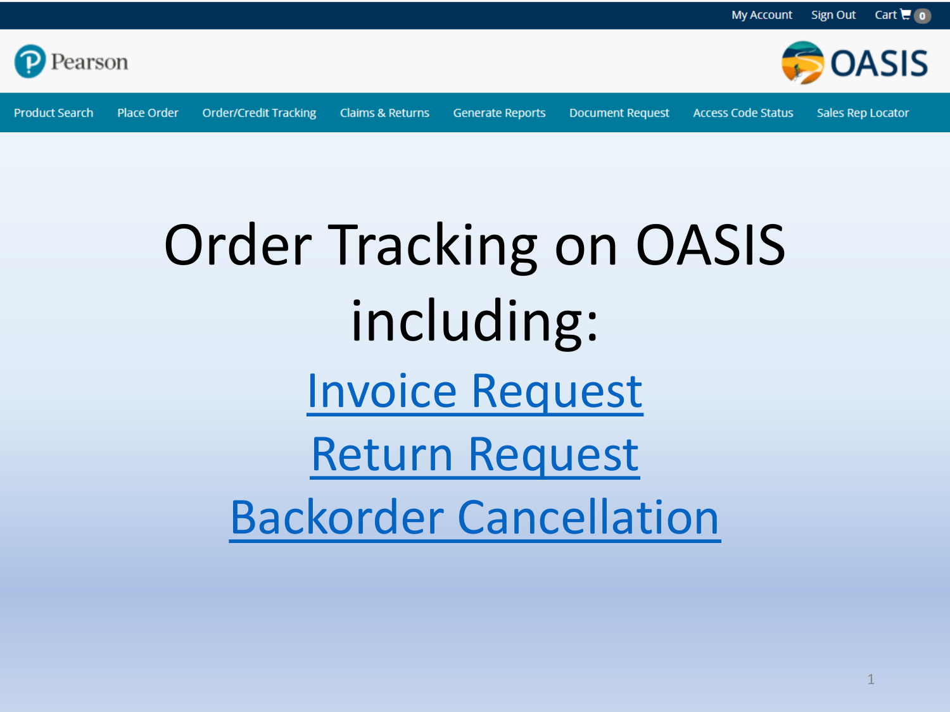

**Product Search** Place Order

**Order/Credit Tracking** 

**Claims & Returns** 

**Generate Reports** 

**Document Request** 

**Access Code Status** 

**Sales Rep Locator** 

**OASIS** 

### **Order Tracking on OASIS** including: **Invoice Request Return Request Backorder Cancellation**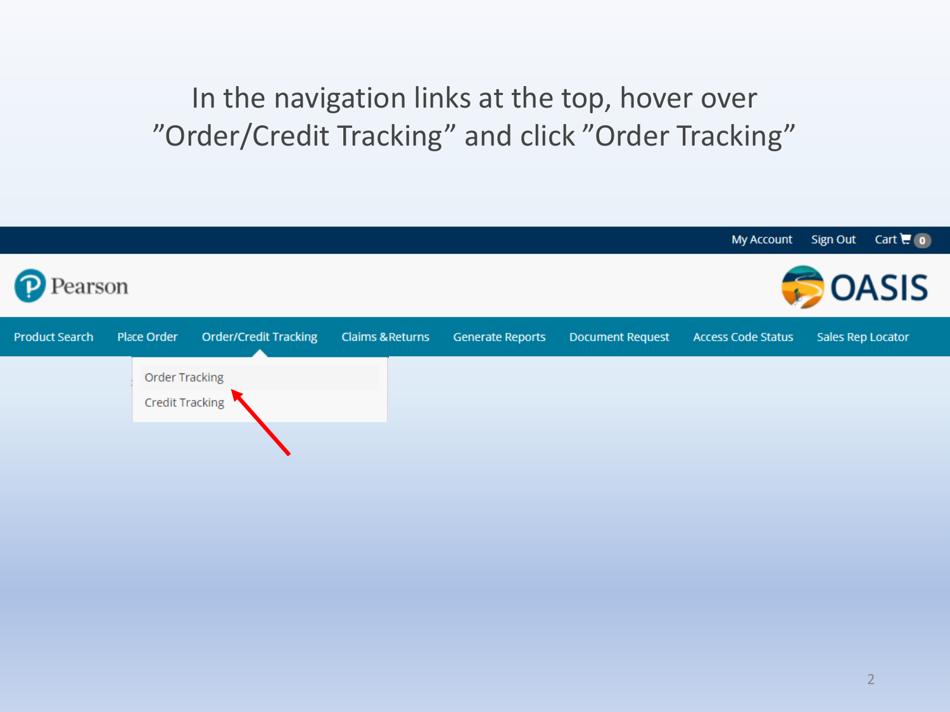In the navigation links at the top, hover over "Order/Credit Tracking" and click "Order Tracking"

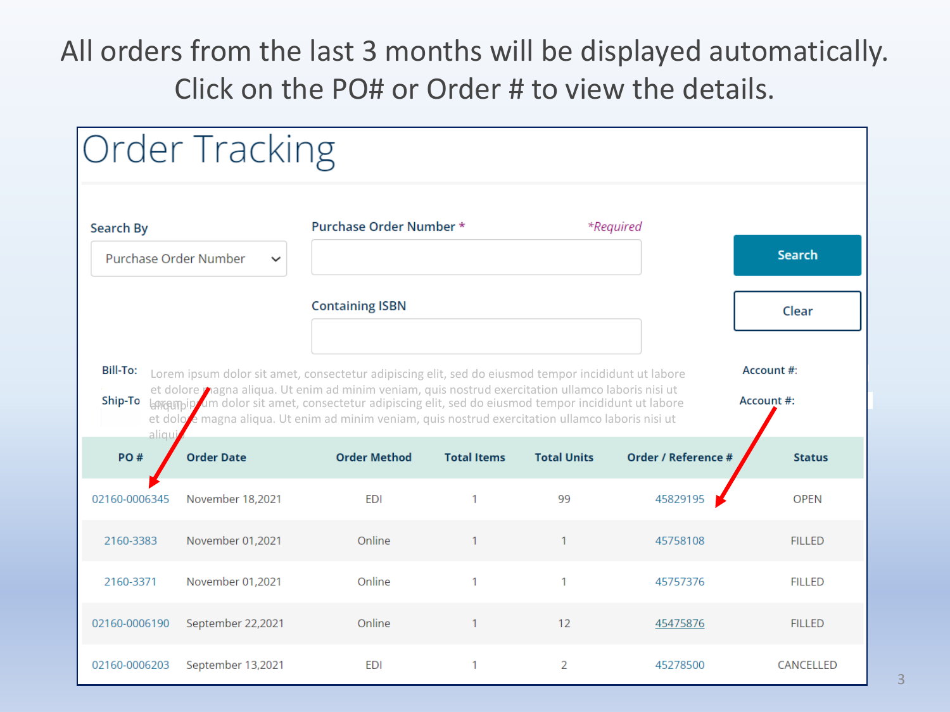### All orders from the last 3 months will be displayed automatically. Click on the PO# or Order # to view the details.

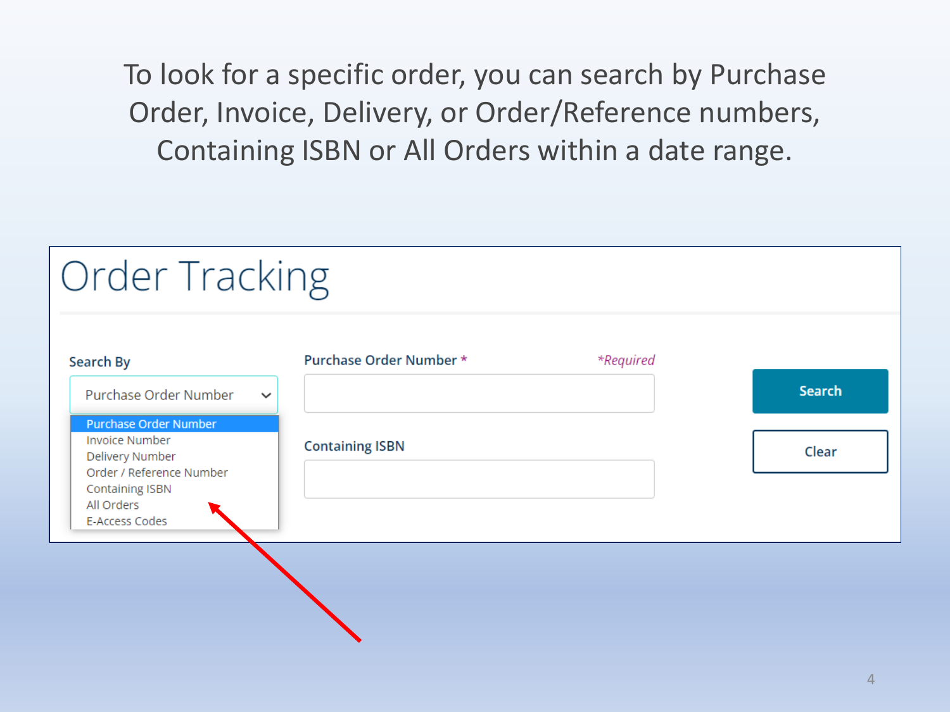To look for a specific order, you can search by Purchase Order, Invoice, Delivery, or Order/Reference numbers, Containing ISBN or All Orders within a date range.

| Order Tracking                                                           |                         |           |               |
|--------------------------------------------------------------------------|-------------------------|-----------|---------------|
| Search By                                                                | Purchase Order Number * | *Required |               |
| Purchase Order Number<br>$\checkmark$                                    |                         |           | <b>Search</b> |
| <b>Purchase Order Number</b><br><b>Invoice Number</b><br>Delivery Number | <b>Containing ISBN</b>  |           | Clear         |
| Order / Reference Number<br><b>Containing ISBN</b><br>All Orders         |                         |           |               |
| E-Access Codes                                                           |                         |           |               |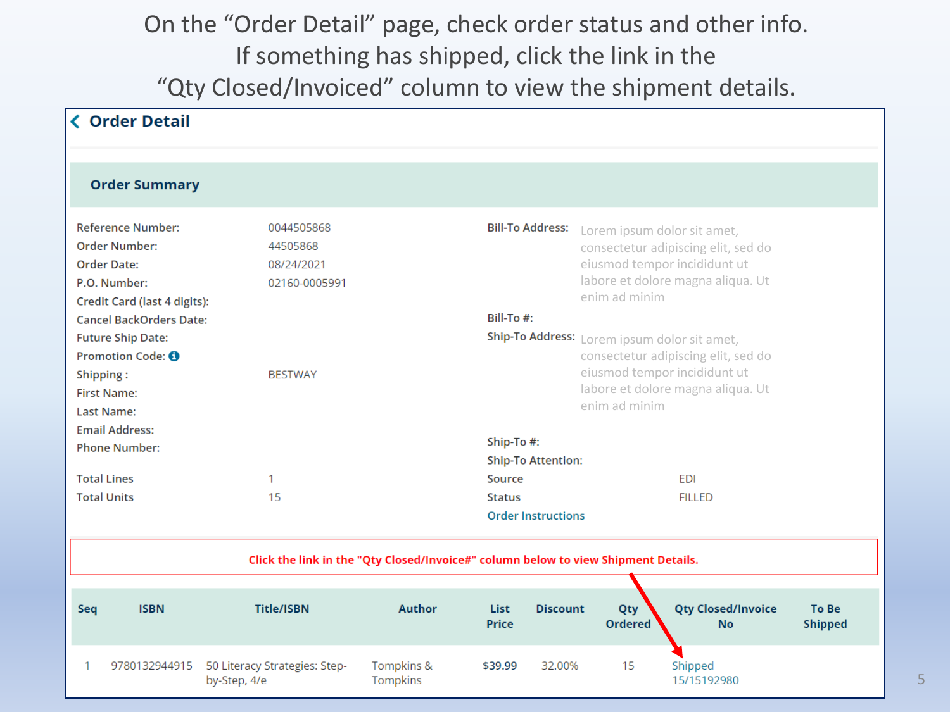#### On the "Order Detail" page, check order status and other info. If something has shipped, click the link in the "Qty Closed/Invoiced" column to view the shipment details.

|                                                                                                                                                                                                                                                                                                   | <b>く Order Detail</b> |                                                                         |                        |                                                             |                           |                                                                                                                                                                                                                                                                                                                                                                                |                                        |                                |  |  |
|---------------------------------------------------------------------------------------------------------------------------------------------------------------------------------------------------------------------------------------------------------------------------------------------------|-----------------------|-------------------------------------------------------------------------|------------------------|-------------------------------------------------------------|---------------------------|--------------------------------------------------------------------------------------------------------------------------------------------------------------------------------------------------------------------------------------------------------------------------------------------------------------------------------------------------------------------------------|----------------------------------------|--------------------------------|--|--|
|                                                                                                                                                                                                                                                                                                   |                       |                                                                         |                        |                                                             |                           |                                                                                                                                                                                                                                                                                                                                                                                |                                        |                                |  |  |
|                                                                                                                                                                                                                                                                                                   | <b>Order Summary</b>  |                                                                         |                        |                                                             |                           |                                                                                                                                                                                                                                                                                                                                                                                |                                        |                                |  |  |
| <b>Reference Number:</b><br><b>Order Number:</b><br><b>Order Date:</b><br>P.O. Number:<br>Credit Card (last 4 digits):<br><b>Cancel BackOrders Date:</b><br><b>Future Ship Date:</b><br>Promotion Code: <b>O</b><br>Shipping:<br><b>First Name:</b><br><b>Last Name:</b><br><b>Email Address:</b> |                       | 0044505868<br>44505868<br>08/24/2021<br>02160-0005991<br><b>BESTWAY</b> |                        |                                                             |                           | <b>Bill-To Address:</b><br>Lorem ipsum dolor sit amet,<br>consectetur adipiscing elit, sed do<br>eiusmod tempor incididunt ut<br>labore et dolore magna aliqua. Ut<br>enim ad minim<br>Bill-To #:<br>Ship-To Address: Lorem ipsum dolor sit amet,<br>consectetur adipiscing elit, sed do<br>eiusmod tempor incididunt ut<br>labore et dolore magna aliqua. Ut<br>enim ad minim |                                        |                                |  |  |
|                                                                                                                                                                                                                                                                                                   | <b>Phone Number:</b>  |                                                                         |                        |                                                             | Ship-To #:                |                                                                                                                                                                                                                                                                                                                                                                                |                                        |                                |  |  |
|                                                                                                                                                                                                                                                                                                   |                       |                                                                         |                        |                                                             | <b>Ship-To Attention:</b> |                                                                                                                                                                                                                                                                                                                                                                                |                                        |                                |  |  |
| <b>Total Lines</b>                                                                                                                                                                                                                                                                                |                       | 1                                                                       |                        | Source                                                      |                           |                                                                                                                                                                                                                                                                                                                                                                                | <b>EDI</b>                             |                                |  |  |
| <b>Total Units</b><br>15                                                                                                                                                                                                                                                                          |                       |                                                                         |                        | <b>Status</b><br><b>FILLED</b><br><b>Order Instructions</b> |                           |                                                                                                                                                                                                                                                                                                                                                                                |                                        |                                |  |  |
| Click the link in the "Qty Closed/Invoice#" column below to view Shipment Details.                                                                                                                                                                                                                |                       |                                                                         |                        |                                                             |                           |                                                                                                                                                                                                                                                                                                                                                                                |                                        |                                |  |  |
| Seq                                                                                                                                                                                                                                                                                               | <b>ISBN</b>           | <b>Title/ISBN</b>                                                       | <b>Author</b>          | List<br><b>Price</b>                                        | <b>Discount</b>           | Qty<br><b>Ordered</b>                                                                                                                                                                                                                                                                                                                                                          | <b>Qty Closed/Invoice</b><br><b>No</b> | <b>To Be</b><br><b>Shipped</b> |  |  |
|                                                                                                                                                                                                                                                                                                   | 9780132944915         | 50 Literacy Strategies: Step-<br>by-Step, 4/e                           | Tompkins &<br>Tompkins | \$39.99                                                     | 32.00%                    | 15                                                                                                                                                                                                                                                                                                                                                                             | Shipped<br>15/15192980                 |                                |  |  |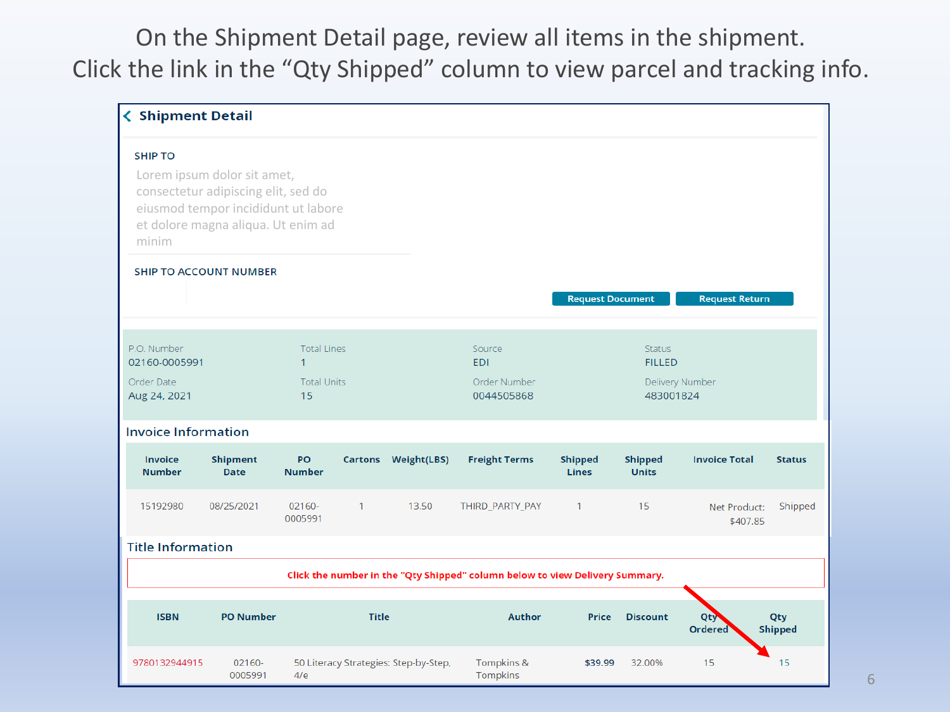On the Shipment Detail page, review all items in the shipment. Click the link in the "Qty Shipped" column to view parcel and tracking info.

| <b>く Shipment Detail</b>        |                                                                                                                                                 |                                    |              |                                       |                                                                              |                                |                                |                          |                       |
|---------------------------------|-------------------------------------------------------------------------------------------------------------------------------------------------|------------------------------------|--------------|---------------------------------------|------------------------------------------------------------------------------|--------------------------------|--------------------------------|--------------------------|-----------------------|
| <b>SHIP TO</b>                  |                                                                                                                                                 |                                    |              |                                       |                                                                              |                                |                                |                          |                       |
| minim                           | Lorem ipsum dolor sit amet,<br>consectetur adipiscing elit, sed do<br>eiusmod tempor incididunt ut labore<br>et dolore magna aliqua. Ut enim ad |                                    |              |                                       |                                                                              |                                |                                |                          |                       |
|                                 | <b>SHIP TO ACCOUNT NUMBER</b>                                                                                                                   |                                    |              |                                       |                                                                              |                                |                                |                          |                       |
|                                 |                                                                                                                                                 |                                    |              |                                       |                                                                              | <b>Request Document</b>        |                                | <b>Request Return</b>    |                       |
| P.O. Number<br>02160-0005991    |                                                                                                                                                 | <b>Total Lines</b><br>$\mathbf{1}$ |              |                                       | Source<br><b>EDI</b>                                                         |                                | <b>Status</b><br><b>FILLED</b> |                          |                       |
| Order Date<br>Aug 24, 2021      |                                                                                                                                                 | <b>Total Units</b><br>15           |              |                                       | Order Number<br>0044505868                                                   |                                | 483001824                      | Delivery Number          |                       |
| <b>Invoice Information</b>      |                                                                                                                                                 |                                    |              |                                       |                                                                              |                                |                                |                          |                       |
| <b>Invoice</b><br><b>Number</b> | <b>Shipment</b><br><b>Date</b>                                                                                                                  | PO<br><b>Number</b>                |              | Cartons Weight(LBS)                   | <b>Freight Terms</b>                                                         | <b>Shipped</b><br><b>Lines</b> | <b>Shipped</b><br><b>Units</b> | <b>Invoice Total</b>     | <b>Status</b>         |
| 15192980                        | 08/25/2021                                                                                                                                      | 02160-<br>0005991                  | $\mathbf{1}$ | 13.50                                 | THIRD_PARTY_PAY                                                              | $\mathbf{1}$                   | 15                             | Net Product:<br>\$407.85 | Shipped               |
| <b>Title Information</b>        |                                                                                                                                                 |                                    |              |                                       |                                                                              |                                |                                |                          |                       |
|                                 |                                                                                                                                                 |                                    |              |                                       | Click the number in the "Qty Shipped" column below to view Delivery Summary. |                                |                                |                          |                       |
| <b>ISBN</b>                     | <b>PO Number</b>                                                                                                                                |                                    | <b>Title</b> |                                       | <b>Author</b>                                                                | <b>Price</b>                   | <b>Discount</b>                | Qty<br><b>Ordered</b>    | Qty<br><b>Shipped</b> |
| 9780132944915                   | 02160-<br>0005991                                                                                                                               | 4/e                                |              | 50 Literacy Strategies: Step-by-Step, | Tompkins &<br>Tompkins                                                       | \$39.99                        | 32.00%                         | 15                       | 15                    |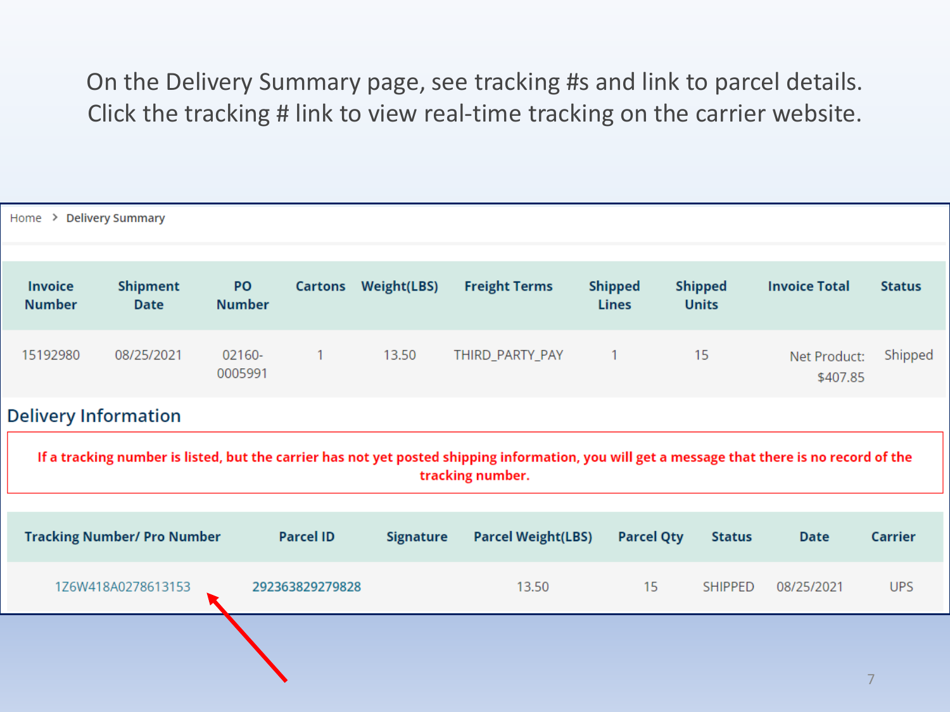#### On the Delivery Summary page, see tracking #s and link to parcel details. Click the tracking # link to view real-time tracking on the carrier website.

| Home > Delivery Summary                                                                                                                                                                           |                                    |                     |                  |                    |                           |                                |                                |                          |                |  |
|---------------------------------------------------------------------------------------------------------------------------------------------------------------------------------------------------|------------------------------------|---------------------|------------------|--------------------|---------------------------|--------------------------------|--------------------------------|--------------------------|----------------|--|
| <b>Invoice</b><br><b>Number</b>                                                                                                                                                                   | <b>Shipment</b><br><b>Date</b>     | PO<br><b>Number</b> | Cartons          | <b>Weight(LBS)</b> | <b>Freight Terms</b>      | <b>Shipped</b><br><b>Lines</b> | <b>Shipped</b><br><b>Units</b> | <b>Invoice Total</b>     | <b>Status</b>  |  |
| 15192980                                                                                                                                                                                          | 08/25/2021                         | 02160-<br>0005991   | $\mathbf{1}$     | 13.50              | THIRD_PARTY_PAY           | 1                              | 15                             | Net Product:<br>\$407.85 | Shipped        |  |
| <b>Delivery Information</b><br>If a tracking number is listed, but the carrier has not yet posted shipping information, you will get a message that there is no record of the<br>tracking number. |                                    |                     |                  |                    |                           |                                |                                |                          |                |  |
|                                                                                                                                                                                                   | <b>Tracking Number/ Pro Number</b> |                     | <b>Parcel ID</b> | <b>Signature</b>   | <b>Parcel Weight(LBS)</b> | <b>Parcel Qty</b>              | <b>Status</b>                  | <b>Date</b>              | <b>Carrier</b> |  |
|                                                                                                                                                                                                   | 1Z6W418A0278613153                 |                     | 292363829279828  |                    | 13.50                     | 15                             | <b>SHIPPED</b>                 | 08/25/2021               | <b>UPS</b>     |  |
|                                                                                                                                                                                                   |                                    |                     |                  |                    |                           |                                |                                |                          |                |  |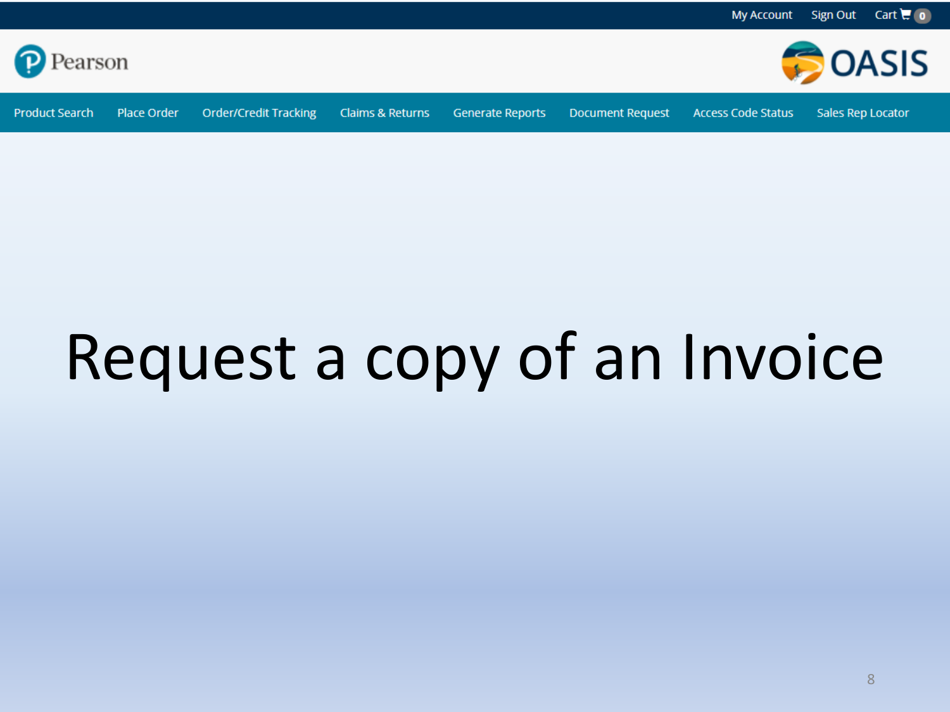<span id="page-7-0"></span>



**Product Search** 

Place Order **Order/Credit Tracking** 

Claims & Returns

Generate Reports

**Document Request** 

**Access Code Status** 

**Sales Rep Locator** 

## Request a copy of an Invoice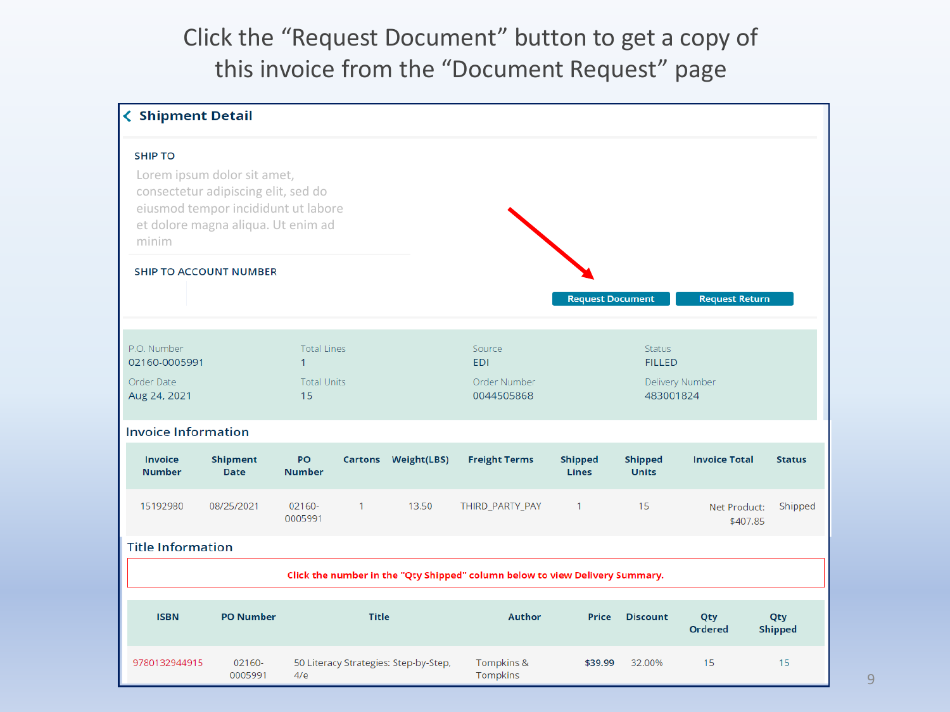#### Click the "Request Document" button to get a copy of this invoice from the "Document Request" page

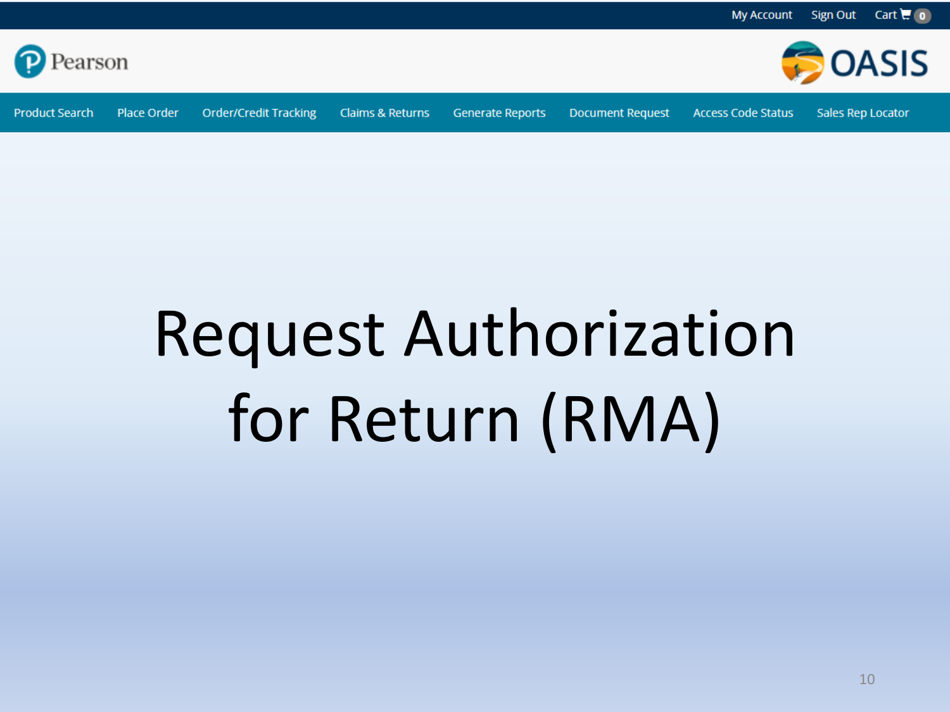<span id="page-9-0"></span>

**Product Search** Place Order

**Order/Credit Tracking** Claims & Returns

**Generate Reports** 

**Document Request** 

**Access Code Status** 

Sales Rep Locator

**OASIS** 

## **Request Authorization** for Return (RMA)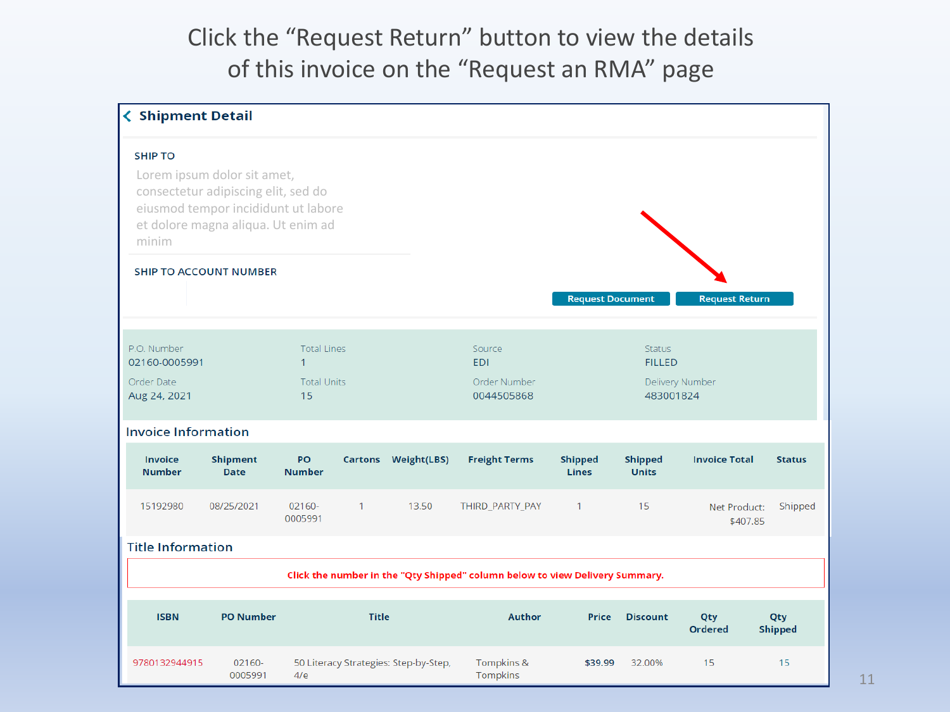#### Click the "Request Return" button to view the details of this invoice on the "Request an RMA" page

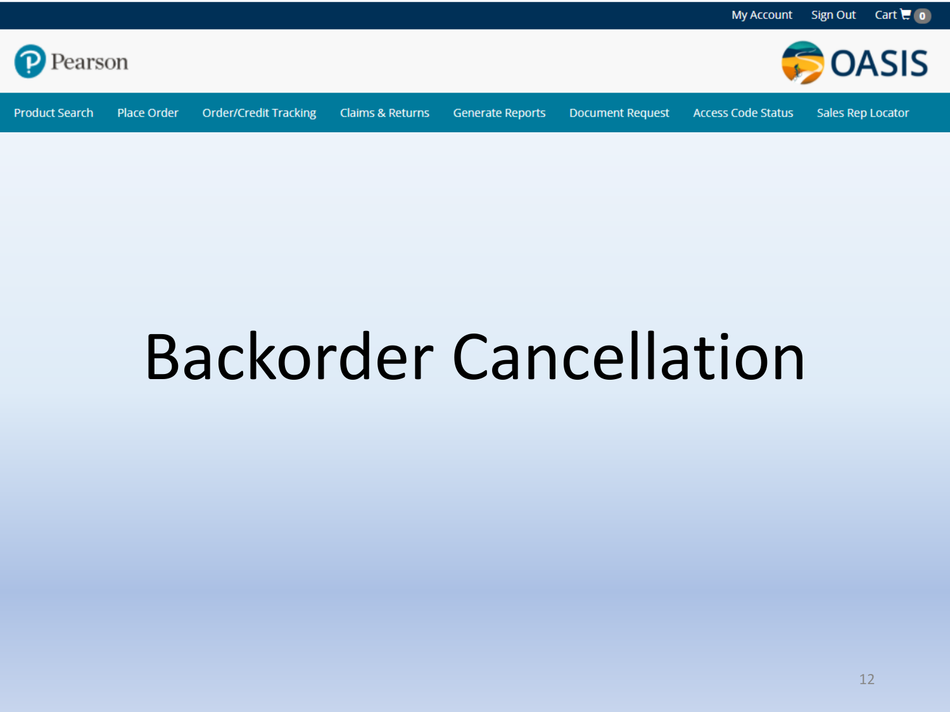<span id="page-11-0"></span>

**Product Search** Place Order

**Order/Credit Tracking** 

Claims & Returns

**Generate Reports** 

**Document Request** 

**Access Code Status** 

Sales Rep Locator

**DASIS** 

### **Backorder Cancellation**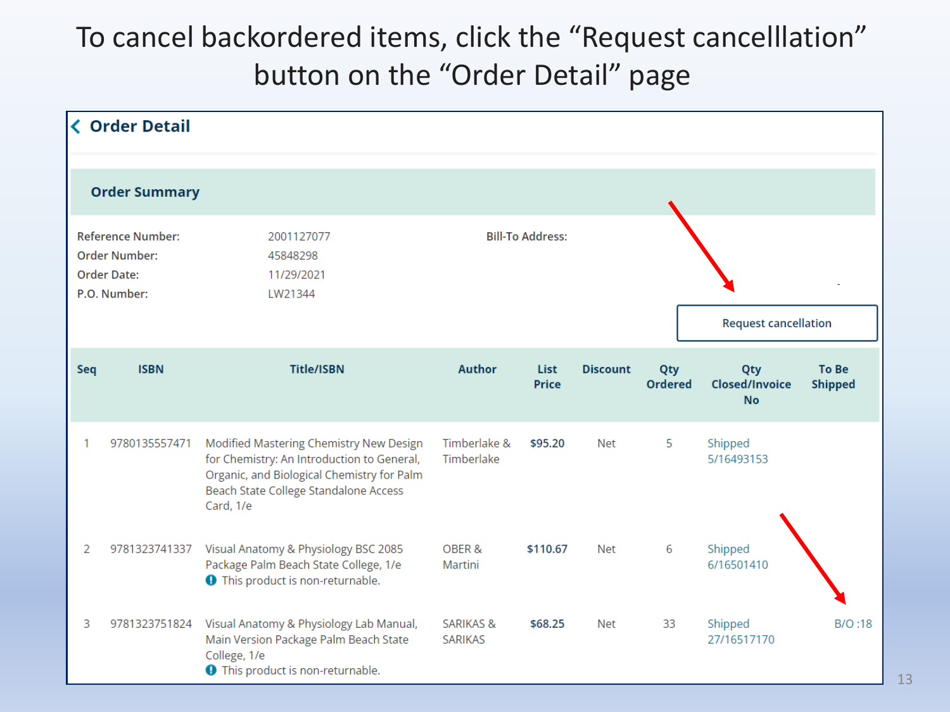### To cancel backordered items, click the "Request cancelllation" button on the "Order Detail" page

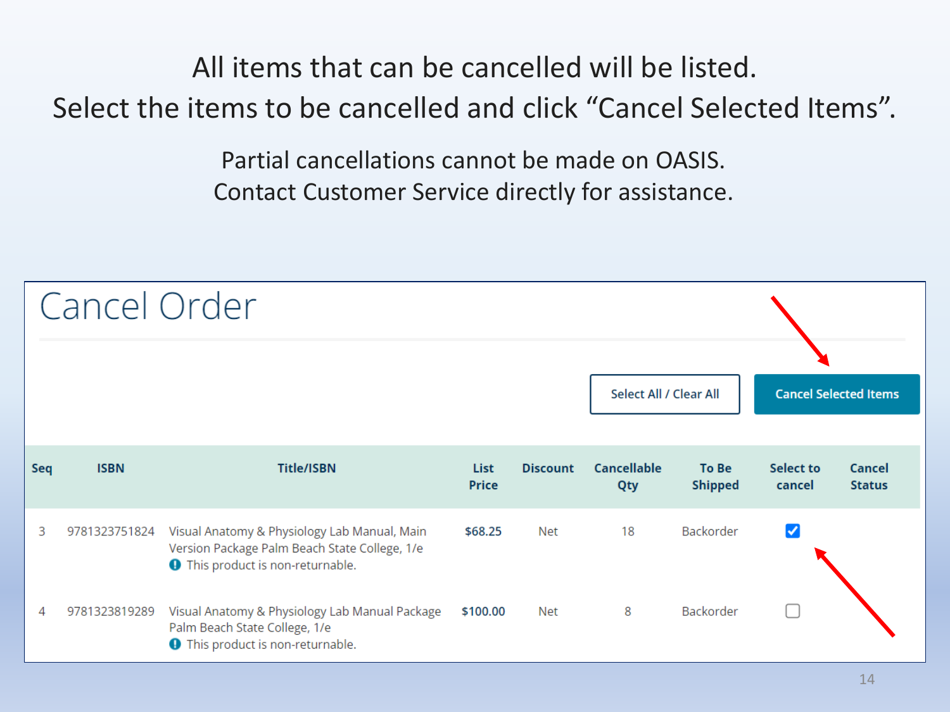### All items that can be cancelled will be listed. Select the items to be cancelled and click "Cancel Selected Items".

Partial cancellations cannot be made on OASIS. Contact Customer Service directly for assistance.

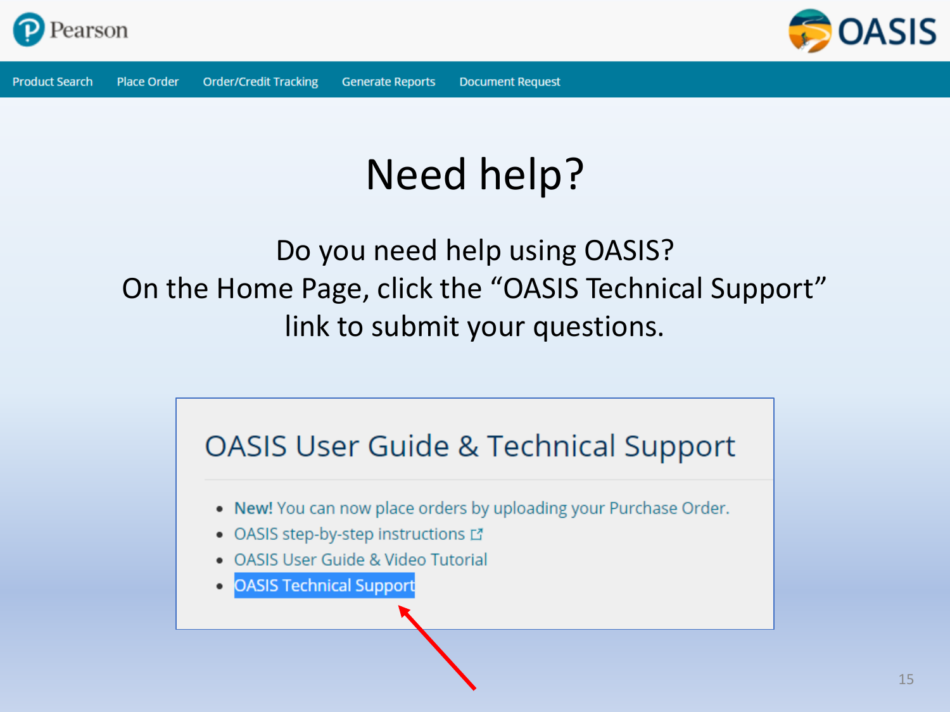



### Need help?

### Do you need help using OASIS? On the Home Page, click the "OASIS Technical Support" link to submit your questions.

### **OASIS User Guide & Technical Support** . New! You can now place orders by uploading your Purchase Order. • OASIS step-by-step instructions L' • OASIS User Guide & Video Tutorial **OASIS Technical Support**  $\bullet$